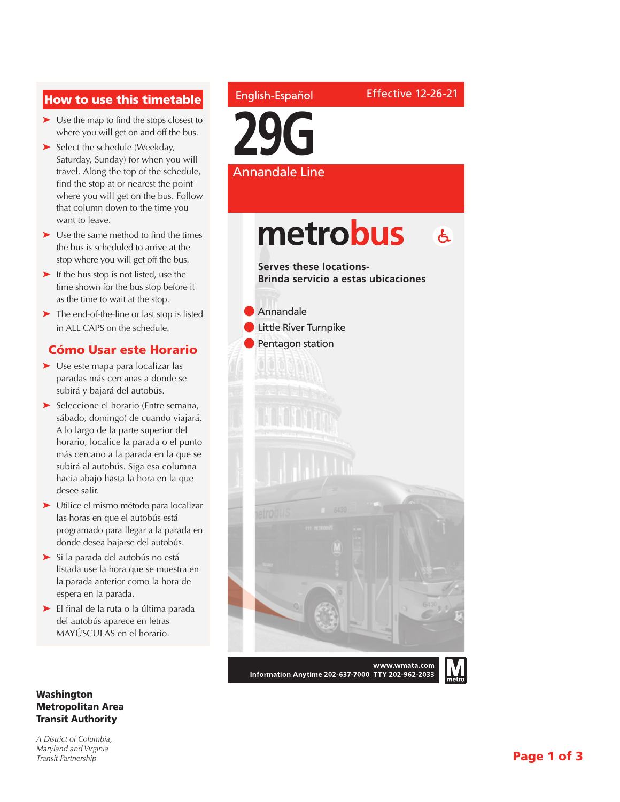### How to use this timetable

- ➤ Use the map to find the stops closest to where you will get on and off the bus.
- ➤ Select the schedule (Weekday, Saturday, Sunday) for when you will travel. Along the top of the schedule, find the stop at or nearest the point where you will get on the bus. Follow that column down to the time you want to leave.
- ➤ Use the same method to find the times the bus is scheduled to arrive at the stop where you will get off the bus.
- ➤ If the bus stop is not listed, use the time shown for the bus stop before it as the time to wait at the stop.
- ➤ The end-of-the-line or last stop is listed in ALL CAPS on the schedule.

#### Cómo Usar este Horario

- ➤ Use este mapa para localizar las paradas más cercanas a donde se subirá y bajará del autobús.
- ➤ Seleccione el horario (Entre semana, sábado, domingo) de cuando viajará. A lo largo de la parte superior del horario, localice la parada o el punto más cercano a la parada en la que se subirá al autobús. Siga esa columna hacia abajo hasta la hora en la que desee salir.
- ➤ Utilice el mismo método para localizar las horas en que el autobús está programado para llegar a la parada en donde desea bajarse del autobús.
- ➤ Si la parada del autobús no está listada use la hora que se muestra en la parada anterior como la hora de espera en la parada.
- ➤ El final de la ruta o la última parada del autobús aparece en letras MAYÚSCULAS en el horario.

#### Washington Metropolitan Area Transit Authority

*A District of Columbia, Maryland and Virginia Transit Partnership*

### English-Español

Effective 12-26-21

**29G** Annandale Line

## metrobus  $\mathbf{A}$

**Serves these locations-Brinda servicio a estas ubicaciones**



Information Anytime 202-637-7000 TTY 202-962-2033

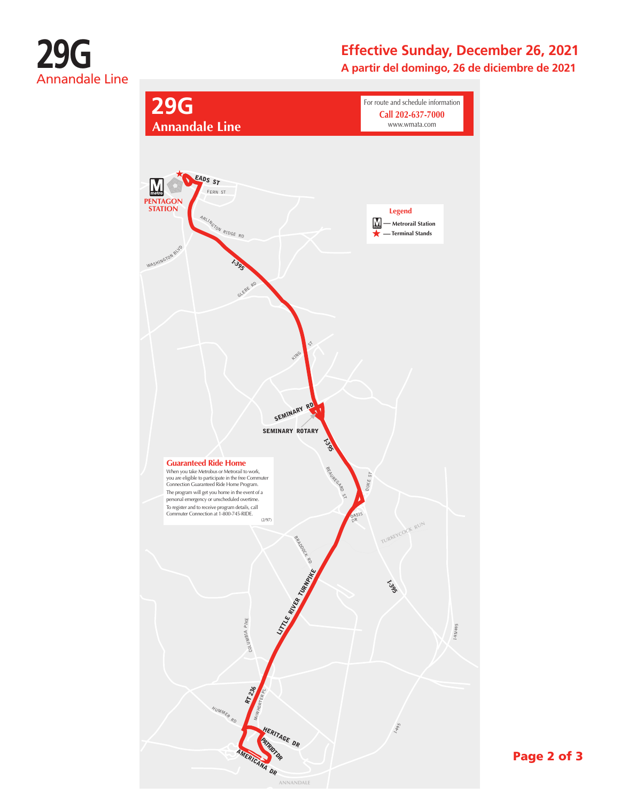

# **Effective Sunday, December 26, 2021**

**A partir del domingo, 26 de diciembre de 2021**



Page 2 of 3